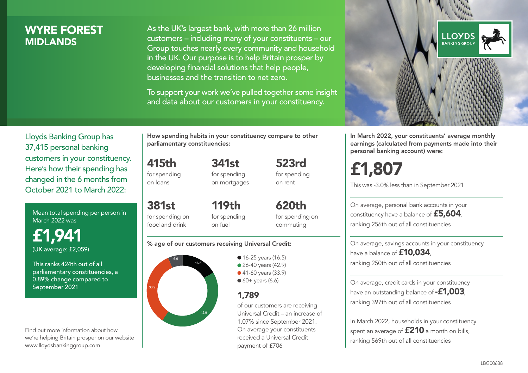### WYRE FOREST **MIDI ANDS**

As the UK's largest bank, with more than 26 million customers – including many of your constituents – our Group touches nearly every community and household in the UK. Our purpose is to help Britain prosper by developing financial solutions that help people, businesses and the transition to net zero.

To support your work we've pulled together some insight and data about our customers in your constituency.



Mean total spending per person in March 2022 was

£1,941 (UK average: £2,059)

This ranks 424th out of all parliamentary constituencies, a 0.89% change compared to September 2021

Find out more information about how we're helping Britain prosper on our website www.lloydsbankinggroup.com

How spending habits in your constituency compare to other parliamentary constituencies:

415th for spending

on loans

for spending on mortgages

341st

381st for spending on food and drink 119th for spending on fuel

620th for spending on commuting

523rd for spending on rent

#### % age of our customers receiving Universal Credit:



**16-25 years (16.5)** ● 26-40 years (42.9) ● 41-60 years (33.9)  $60+$  years (6.6)

#### 1,789

of our customers are receiving Universal Credit – an increase of 1.07% since September 2021. On average your constituents received a Universal Credit payment of £706



In March 2022, your constituents' average monthly earnings (calculated from payments made into their personal banking account) were:

# £1,807

This was -3.0% less than in September 2021

On average, personal bank accounts in your constituency have a balance of £5,604, ranking 256th out of all constituencies

On average, savings accounts in your constituency have a balance of **£10,034**, ranking 250th out of all constituencies

On average, credit cards in your constituency have an outstanding balance of **-£1,003**, ranking 397th out of all constituencies

In March 2022, households in your constituency spent an average of £210 a month on bills, ranking 569th out of all constituencies